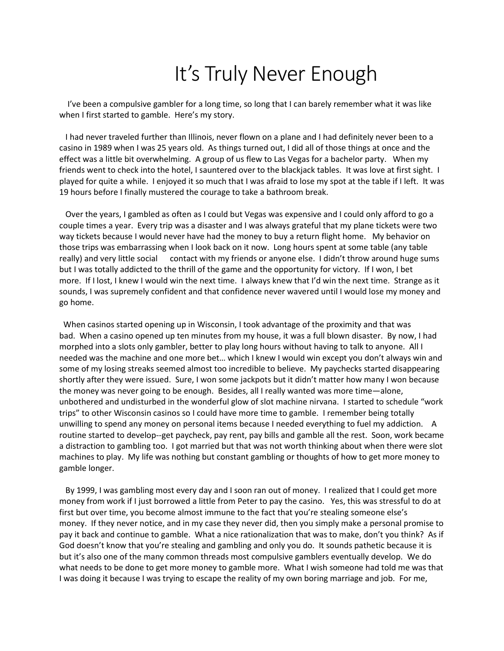## It's Truly Never Enough

I've been a compulsive gambler for a long time, so long that I can barely remember what it was like when I first started to gamble. Here's my story.

 I had never traveled further than Illinois, never flown on a plane and I had definitely never been to a casino in 1989 when I was 25 years old. As things turned out, I did all of those things at once and the effect was a little bit overwhelming. A group of us flew to Las Vegas for a bachelor party. When my friends went to check into the hotel, I sauntered over to the blackjack tables. It was love at first sight. I played for quite a while. I enjoyed it so much that I was afraid to lose my spot at the table if I left. It was 19 hours before I finally mustered the courage to take a bathroom break.

 Over the years, I gambled as often as I could but Vegas was expensive and I could only afford to go a couple times a year. Every trip was a disaster and I was always grateful that my plane tickets were two way tickets because I would never have had the money to buy a return flight home. My behavior on those trips was embarrassing when I look back on it now. Long hours spent at some table (any table really) and very little social contact with my friends or anyone else. I didn't throw around huge sums but I was totally addicted to the thrill of the game and the opportunity for victory. If I won, I bet more. If I lost, I knew I would win the next time. I always knew that I'd win the next time. Strange as it sounds, I was supremely confident and that confidence never wavered until I would lose my money and go home.

When casinos started opening up in Wisconsin, I took advantage of the proximity and that was bad. When a casino opened up ten minutes from my house, it was a full blown disaster. By now, I had morphed into a slots only gambler, better to play long hours without having to talk to anyone. All I needed was the machine and one more bet… which I knew I would win except you don't always win and some of my losing streaks seemed almost too incredible to believe. My paychecks started disappearing shortly after they were issued. Sure, I won some jackpots but it didn't matter how many I won because the money was never going to be enough. Besides, all I really wanted was more time—alone, unbothered and undisturbed in the wonderful glow of slot machine nirvana. I started to schedule "work trips" to other Wisconsin casinos so I could have more time to gamble. I remember being totally unwilling to spend any money on personal items because I needed everything to fuel my addiction. A routine started to develop--get paycheck, pay rent, pay bills and gamble all the rest. Soon, work became a distraction to gambling too. I got married but that was not worth thinking about when there were slot machines to play. My life was nothing but constant gambling or thoughts of how to get more money to gamble longer.

 By 1999, I was gambling most every day and I soon ran out of money. I realized that I could get more money from work if I just borrowed a little from Peter to pay the casino. Yes, this was stressful to do at first but over time, you become almost immune to the fact that you're stealing someone else's money. If they never notice, and in my case they never did, then you simply make a personal promise to pay it back and continue to gamble. What a nice rationalization that was to make, don't you think? As if God doesn't know that you're stealing and gambling and only you do. It sounds pathetic because it is but it's also one of the many common threads most compulsive gamblers eventually develop. We do what needs to be done to get more money to gamble more. What I wish someone had told me was that I was doing it because I was trying to escape the reality of my own boring marriage and job. For me,